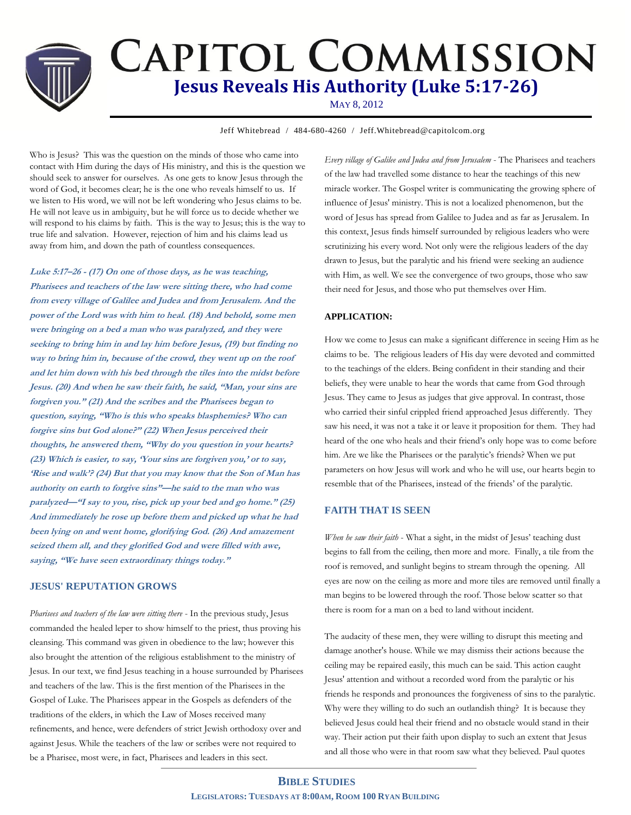# **CAPITOL COMMISSION Jesus Reveals His Authority (Luke 5:17-26)**

MAY 8, 2012

**Jeff Whitebread / 484-680-4260 / Jeff.Whitebread@capitolcom.org** 

Who is Jesus? This was the question on the minds of those who came into contact with Him during the days of His ministry, and this is the question we should seek to answer for ourselves. As one gets to know Jesus through the word of God, it becomes clear; he is the one who reveals himself to us. If we listen to His word, we will not be left wondering who Jesus claims to be. He will not leave us in ambiguity, but he will force us to decide whether we will respond to his claims by faith. This is the way to Jesus; this is the way to true life and salvation. However, rejection of him and his claims lead us away from him, and down the path of countless consequences.

**Luke 5:17–26 - (17) On one of those days, as he was teaching, Pharisees and teachers of the law were sitting there, who had come from every village of Galilee and Judea and from Jerusalem. And the power of the Lord was with him to heal. (18) And behold, some men were bringing on a bed a man who was paralyzed, and they were seeking to bring him in and lay him before Jesus, (19) but finding no way to bring him in, because of the crowd, they went up on the roof and let him down with his bed through the tiles into the midst before Jesus. (20) And when he saw their faith, he said, "Man, your sins ar<sup>e</sup> forgiven you." (21) And the scribes and the Pharisees began to question, saying, "Who is this who speaks blasphemies? Who can forgive sins but God alone?" (22) When Jesus perceived their thoughts, he answered them, "Why do you question in your hearts? (23) Which is easier, to say, 'Your sins are forgiven you,' or to say, 'Rise and walk'? (24) But that you may know that the Son of Man has authority on earth to forgive sins"—he said to the man who was paralyzed—"I say to you, rise, pick up your bed and go home." (25) And immediately he rose up before them and picked up what he had been lying on and went home, glorifying God. (26) And amazement seized them all, and they glorified God and were filled with awe, saying, "We have seen extraordinary things today."**

#### **JESUS' REPUTATION GROWS**

*Pharisees and teachers of the law were sitting there* - In the previous study, Jesus commanded the healed leper to show himself to the priest, thus proving his cleansing. This command was given in obedience to the law; however this also brought the attention of the religious establishment to the ministry of Jesus. In our text, we find Jesus teaching in a house surrounded by Pharisees and teachers of the law. This is the first mention of the Pharisees in the Gospel of Luke. The Pharisees appear in the Gospels as defenders of the traditions of the elders, in which the Law of Moses received many refinements, and hence, were defenders of strict Jewish orthodoxy over and against Jesus. While the teachers of the law or scribes were not required to be a Pharisee, most were, in fact, Pharisees and leaders in this sect.

*Every village of Galilee and Judea and from Jerusalem* - The Pharisees and teachers of the law had travelled some distance to hear the teachings of this new miracle worker. The Gospel writer is communicating the growing sphere of influence of Jesus' ministry. This is not a localized phenomenon, but the word of Jesus has spread from Galilee to Judea and as far as Jerusalem. In this context, Jesus finds himself surrounded by religious leaders who were scrutinizing his every word. Not only were the religious leaders of the day drawn to Jesus, but the paralytic and his friend were seeking an audience with Him, as well. We see the convergence of two groups, those who saw their need for Jesus, and those who put themselves over Him.

### **APPLICATION:**

How we come to Jesus can make a significant difference in seeing Him as he claims to be. The religious leaders of His day were devoted and committed to the teachings of the elders. Being confident in their standing and their beliefs, they were unable to hear the words that came from God through Jesus. They came to Jesus as judges that give approval. In contrast, those who carried their sinful crippled friend approached Jesus differently. They saw his need, it was not a take it or leave it proposition for them. They had heard of the one who heals and their friend's only hope was to come before him. Are we like the Pharisees or the paralytic's friends? When we put parameters on how Jesus will work and who he will use, our hearts begin to resemble that of the Pharisees, instead of the friends' of the paralytic.

## **FAITH THAT IS SEEN**

*When he saw their faith* - What a sight, in the midst of Jesus' teaching dust begins to fall from the ceiling, then more and more. Finally, a tile from the roof is removed, and sunlight begins to stream through the opening. All eyes are now on the ceiling as more and more tiles are removed until finally a man begins to be lowered through the roof. Those below scatter so that there is room for a man on a bed to land without incident.

The audacity of these men, they were willing to disrupt this meeting and damage another's house. While we may dismiss their actions because the ceiling may be repaired easily, this much can be said. This action caught Jesus' attention and without a recorded word from the paralytic or his friends he responds and pronounces the forgiveness of sins to the paralytic. Why were they willing to do such an outlandish thing? It is because they believed Jesus could heal their friend and no obstacle would stand in their way. Their action put their faith upon display to such an extent that Jesus and all those who were in that room saw what they believed. Paul quotes